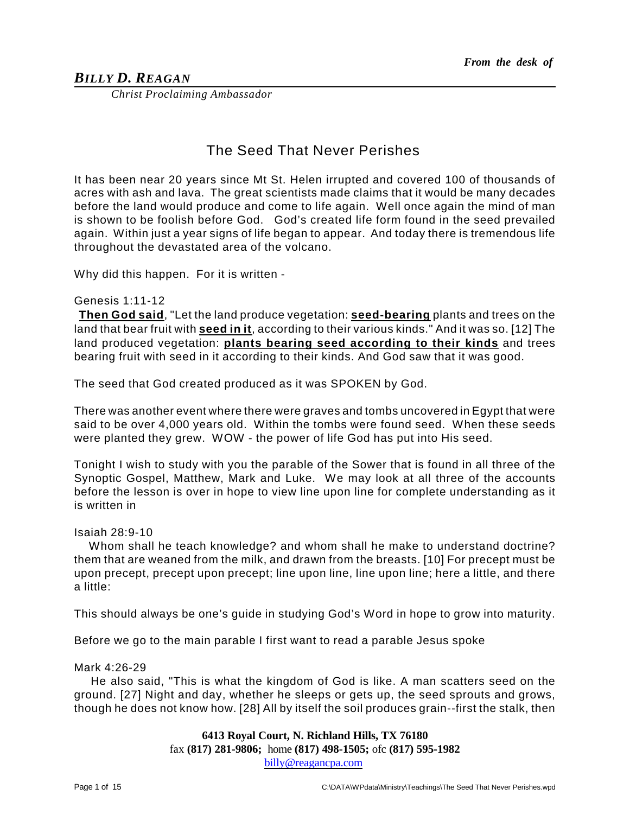# *BILLY D. REAGAN*

*Christ Proclaiming Ambassador*

# The Seed That Never Perishes

It has been near 20 years since Mt St. Helen irrupted and covered 100 of thousands of acres with ash and lava. The great scientists made claims that it would be many decades before the land would produce and come to life again. Well once again the mind of man is shown to be foolish before God. God's created life form found in the seed prevailed again. Within just a year signs of life began to appear. And today there is tremendous life throughout the devastated area of the volcano.

Why did this happen. For it is written -

#### Genesis 1:11-12

**Then God said**, "Let the land produce vegetation: **seed-bearing** plants and trees on the land that bear fruit with **seed in it**, according to their various kinds." And it was so. [12] The land produced vegetation: **plants bearing seed according to their kinds** and trees bearing fruit with seed in it according to their kinds. And God saw that it was good.

The seed that God created produced as it was SPOKEN by God.

There was another event where there were graves and tombs uncovered in Egypt that were said to be over 4,000 years old. Within the tombs were found seed. When these seeds were planted they grew. WOW - the power of life God has put into His seed.

Tonight I wish to study with you the parable of the Sower that is found in all three of the Synoptic Gospel, Matthew, Mark and Luke. We may look at all three of the accounts before the lesson is over in hope to view line upon line for complete understanding as it is written in

#### Isaiah 28:9-10

Whom shall he teach knowledge? and whom shall he make to understand doctrine? them that are weaned from the milk, and drawn from the breasts. [10] For precept must be upon precept, precept upon precept; line upon line, line upon line; here a little, and there a little:

This should always be one's guide in studying God's Word in hope to grow into maturity.

Before we go to the main parable I first want to read a parable Jesus spoke

#### Mark 4:26-29

He also said, "This is what the kingdom of God is like. A man scatters seed on the ground. [27] Night and day, whether he sleeps or gets up, the seed sprouts and grows, though he does not know how. [28] All by itself the soil produces grain--first the stalk, then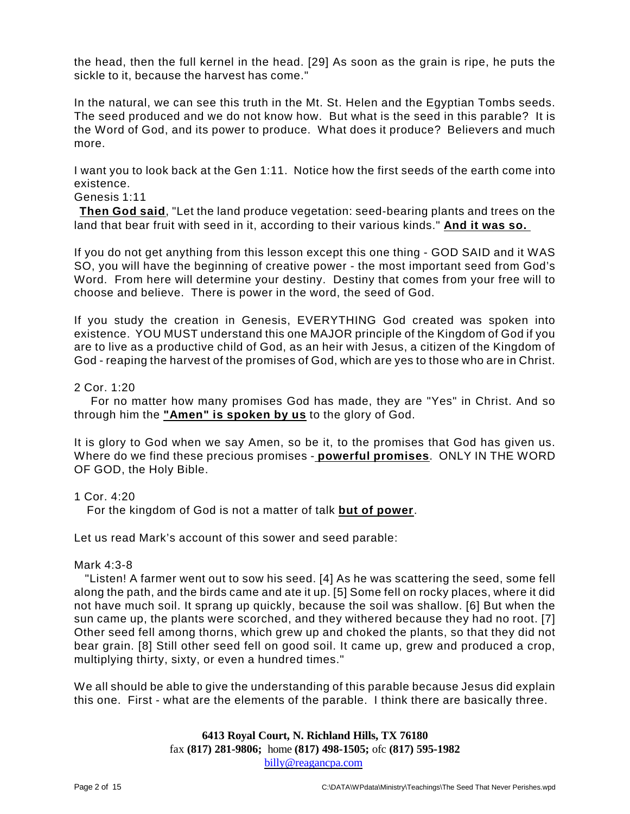the head, then the full kernel in the head. [29] As soon as the grain is ripe, he puts the sickle to it, because the harvest has come."

In the natural, we can see this truth in the Mt. St. Helen and the Egyptian Tombs seeds. The seed produced and we do not know how. But what is the seed in this parable? It is the Word of God, and its power to produce. What does it produce? Believers and much more.

I want you to look back at the Gen 1:11. Notice how the first seeds of the earth come into existence.

## Genesis 1:11

**Then God said**, "Let the land produce vegetation: seed-bearing plants and trees on the land that bear fruit with seed in it, according to their various kinds." **And it was so.** 

If you do not get anything from this lesson except this one thing - GOD SAID and it WAS SO, you will have the beginning of creative power - the most important seed from God's Word. From here will determine your destiny. Destiny that comes from your free will to choose and believe. There is power in the word, the seed of God.

If you study the creation in Genesis, EVERYTHING God created was spoken into existence. YOU MUST understand this one MAJOR principle of the Kingdom of God if you are to live as a productive child of God, as an heir with Jesus, a citizen of the Kingdom of God - reaping the harvest of the promises of God, which are yes to those who are in Christ.

# 2 Cor. 1:20

For no matter how many promises God has made, they are "Yes" in Christ. And so through him the **"Amen" is spoken by us** to the glory of God.

It is glory to God when we say Amen, so be it, to the promises that God has given us. Where do we find these precious promises - **powerful promises**. ONLY IN THE WORD OF GOD, the Holy Bible.

#### 1 Cor. 4:20

For the kingdom of God is not a matter of talk **but of power**.

Let us read Mark's account of this sower and seed parable:

#### Mark 4:3-8

"Listen! A farmer went out to sow his seed. [4] As he was scattering the seed, some fell along the path, and the birds came and ate it up. [5] Some fell on rocky places, where it did not have much soil. It sprang up quickly, because the soil was shallow. [6] But when the sun came up, the plants were scorched, and they withered because they had no root. [7] Other seed fell among thorns, which grew up and choked the plants, so that they did not bear grain. [8] Still other seed fell on good soil. It came up, grew and produced a crop, multiplying thirty, sixty, or even a hundred times."

We all should be able to give the understanding of this parable because Jesus did explain this one. First - what are the elements of the parable. I think there are basically three.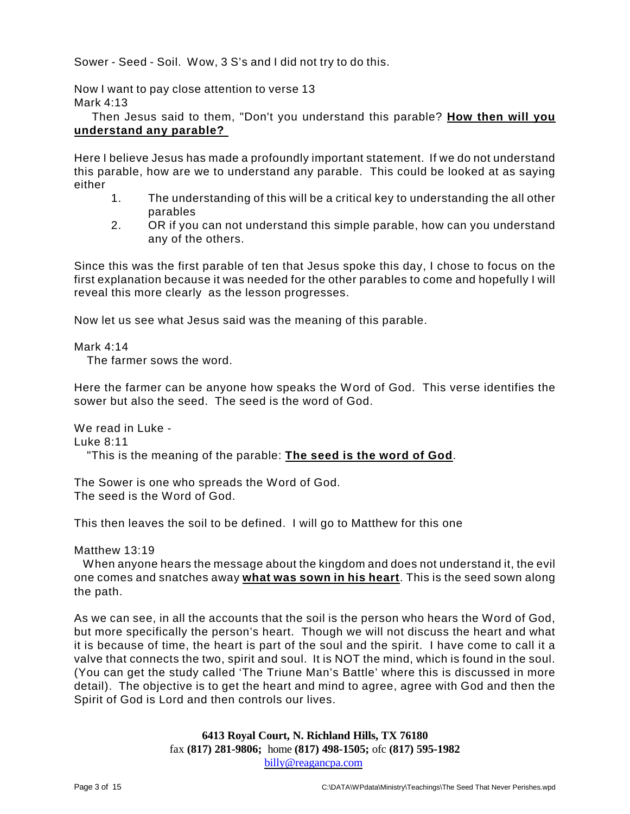Sower - Seed - Soil. Wow, 3 S's and I did not try to do this.

Now I want to pay close attention to verse 13 Mark 4:13

Then Jesus said to them, "Don't you understand this parable? **How then will you understand any parable?** 

Here I believe Jesus has made a profoundly important statement. If we do not understand this parable, how are we to understand any parable. This could be looked at as saying either

- 1. The understanding of this will be a critical key to understanding the all other parables
- 2. OR if you can not understand this simple parable, how can you understand any of the others.

Since this was the first parable of ten that Jesus spoke this day, I chose to focus on the first explanation because it was needed for the other parables to come and hopefully I will reveal this more clearly as the lesson progresses.

Now let us see what Jesus said was the meaning of this parable.

Mark 4:14

The farmer sows the word.

Here the farmer can be anyone how speaks the Word of God. This verse identifies the sower but also the seed. The seed is the word of God.

We read in Luke - Luke 8:11 "This is the meaning of the parable: **The seed is the word of God**.

The Sower is one who spreads the Word of God. The seed is the Word of God.

This then leaves the soil to be defined. I will go to Matthew for this one

Matthew 13:19

When anyone hears the message about the kingdom and does not understand it, the evil one comes and snatches away **what was sown in his heart**. This is the seed sown along the path.

As we can see, in all the accounts that the soil is the person who hears the Word of God, but more specifically the person's heart. Though we will not discuss the heart and what it is because of time, the heart is part of the soul and the spirit. I have come to call it a valve that connects the two, spirit and soul. It is NOT the mind, which is found in the soul. (You can get the study called 'The Triune Man's Battle' where this is discussed in more detail). The objective is to get the heart and mind to agree, agree with God and then the Spirit of God is Lord and then controls our lives.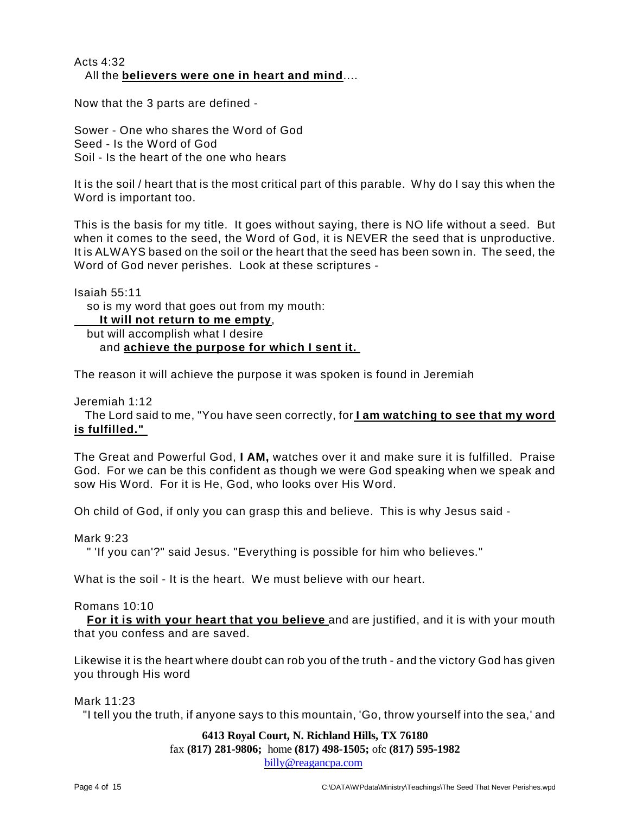# Acts 4:32 All the **believers were one in heart and mind**....

Now that the 3 parts are defined -

Sower - One who shares the Word of God Seed - Is the Word of God Soil - Is the heart of the one who hears

It is the soil / heart that is the most critical part of this parable. Why do I say this when the Word is important too.

This is the basis for my title. It goes without saying, there is NO life without a seed. But when it comes to the seed, the Word of God, it is NEVER the seed that is unproductive. It is ALWAYS based on the soil or the heart that the seed has been sown in. The seed, the Word of God never perishes. Look at these scriptures -

Isaiah 55:11

so is my word that goes out from my mouth:

**It will not return to me empty**, but will accomplish what I desire and **achieve the purpose for which I sent it.** 

The reason it will achieve the purpose it was spoken is found in Jeremiah

Jeremiah 1:12

The Lord said to me, "You have seen correctly, for **I am watching to see that my word is fulfilled."** 

The Great and Powerful God, **I AM,** watches over it and make sure it is fulfilled. Praise God. For we can be this confident as though we were God speaking when we speak and sow His Word. For it is He, God, who looks over His Word.

Oh child of God, if only you can grasp this and believe. This is why Jesus said -

Mark 9:23

" 'If you can'?" said Jesus. "Everything is possible for him who believes."

What is the soil - It is the heart. We must believe with our heart.

#### Romans 10:10

**For it is with your heart that you believe** and are justified, and it is with your mouth that you confess and are saved.

Likewise it is the heart where doubt can rob you of the truth - and the victory God has given you through His word

Mark 11:23

"I tell you the truth, if anyone says to this mountain, 'Go, throw yourself into the sea,' and

# **6413 Royal Court, N. Richland Hills, TX 76180**

fax **(817) 281-9806;** home **(817) 498-1505;** ofc **(817) 595-1982**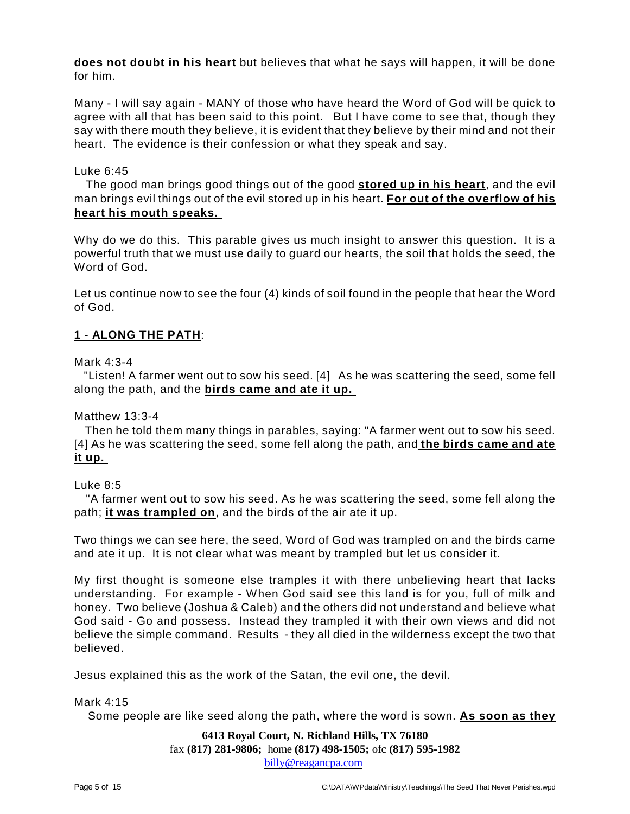**does not doubt in his heart** but believes that what he says will happen, it will be done for him.

Many - I will say again - MANY of those who have heard the Word of God will be quick to agree with all that has been said to this point. But I have come to see that, though they say with there mouth they believe, it is evident that they believe by their mind and not their heart. The evidence is their confession or what they speak and say.

## Luke 6:45

The good man brings good things out of the good **stored up in his heart**, and the evil man brings evil things out of the evil stored up in his heart. **For out of the overflow of his heart his mouth speaks.** 

Why do we do this. This parable gives us much insight to answer this question. It is a powerful truth that we must use daily to guard our hearts, the soil that holds the seed, the Word of God.

Let us continue now to see the four (4) kinds of soil found in the people that hear the Word of God.

# **1 - ALONG THE PATH**:

Mark 4:3-4

"Listen! A farmer went out to sow his seed. [4] As he was scattering the seed, some fell along the path, and the **birds came and ate it up.** 

Matthew 13:3-4

Then he told them many things in parables, saying: "A farmer went out to sow his seed. [4] As he was scattering the seed, some fell along the path, and **the birds came and ate it up.** 

#### Luke 8:5

"A farmer went out to sow his seed. As he was scattering the seed, some fell along the path; **it was trampled on**, and the birds of the air ate it up.

Two things we can see here, the seed, Word of God was trampled on and the birds came and ate it up. It is not clear what was meant by trampled but let us consider it.

My first thought is someone else tramples it with there unbelieving heart that lacks understanding. For example - When God said see this land is for you, full of milk and honey. Two believe (Joshua & Caleb) and the others did not understand and believe what God said - Go and possess. Instead they trampled it with their own views and did not believe the simple command. Results - they all died in the wilderness except the two that believed.

Jesus explained this as the work of the Satan, the evil one, the devil.

#### Mark 4:15

Some people are like seed along the path, where the word is sown. **As soon as they**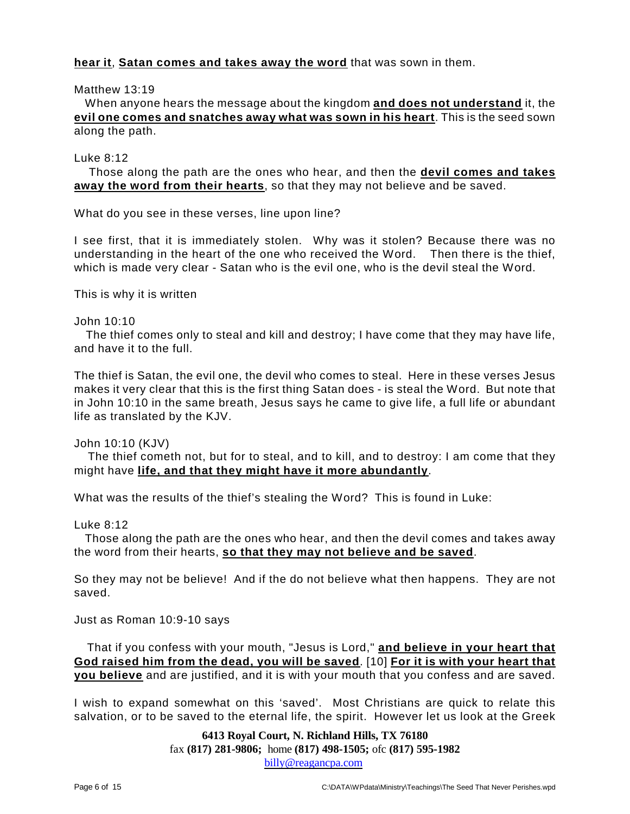# **hear it**, **Satan comes and takes away the word** that was sown in them.

#### Matthew 13:19

When anyone hears the message about the kingdom **and does not understand** it, the **evil one comes and snatches away what was sown in his heart**. This is the seed sown along the path.

#### Luke 8:12

Those along the path are the ones who hear, and then the **devil comes and takes away the word from their hearts**, so that they may not believe and be saved.

What do you see in these verses, line upon line?

I see first, that it is immediately stolen. Why was it stolen? Because there was no understanding in the heart of the one who received the Word. Then there is the thief, which is made very clear - Satan who is the evil one, who is the devil steal the Word.

This is why it is written

John 10:10

The thief comes only to steal and kill and destroy; I have come that they may have life, and have it to the full.

The thief is Satan, the evil one, the devil who comes to steal. Here in these verses Jesus makes it very clear that this is the first thing Satan does - is steal the Word. But note that in John 10:10 in the same breath, Jesus says he came to give life, a full life or abundant life as translated by the KJV.

John 10:10 (KJV)

The thief cometh not, but for to steal, and to kill, and to destroy: I am come that they might have **life, and that they might have it more abundantly**.

What was the results of the thief's stealing the Word? This is found in Luke:

Luke 8:12

Those along the path are the ones who hear, and then the devil comes and takes away the word from their hearts, **so that they may not believe and be saved**.

So they may not be believe! And if the do not believe what then happens. They are not saved.

Just as Roman 10:9-10 says

That if you confess with your mouth, "Jesus is Lord," **and believe in your heart that God raised him from the dead, you will be saved**. [10] **For it is with your heart that you believe** and are justified, and it is with your mouth that you confess and are saved.

I wish to expand somewhat on this 'saved'. Most Christians are quick to relate this salvation, or to be saved to the eternal life, the spirit. However let us look at the Greek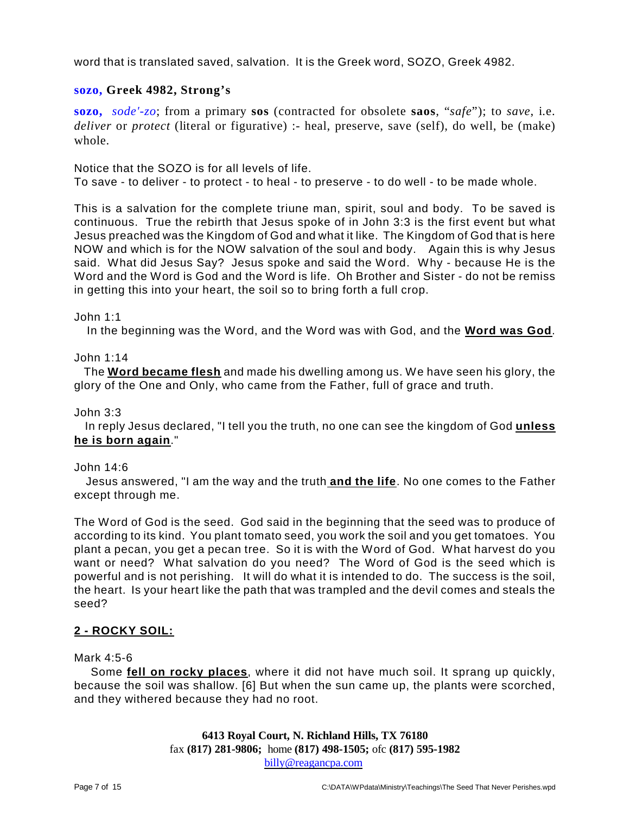word that is translated saved, salvation. It is the Greek word, SOZO, Greek 4982.

# **sozo, Greek 4982, Strong's**

**sozo,** *sode'-zo*; from a primary **sos** (contracted for obsolete **saos**, "*safe*"); to *save*, i.e. *deliver* or *protect* (literal or figurative) :- heal, preserve, save (self), do well, be (make) whole.

Notice that the SOZO is for all levels of life. To save - to deliver - to protect - to heal - to preserve - to do well - to be made whole.

This is a salvation for the complete triune man, spirit, soul and body. To be saved is continuous. True the rebirth that Jesus spoke of in John 3:3 is the first event but what Jesus preached was the Kingdom of God and what it like. The Kingdom of God that is here NOW and which is for the NOW salvation of the soul and body. Again this is why Jesus said. What did Jesus Say? Jesus spoke and said the Word. Why - because He is the Word and the Word is God and the Word is life. Oh Brother and Sister - do not be remiss in getting this into your heart, the soil so to bring forth a full crop.

#### John 1:1

In the beginning was the Word, and the Word was with God, and the **Word was God**.

#### John 1:14

The **Word became flesh** and made his dwelling among us. We have seen his glory, the glory of the One and Only, who came from the Father, full of grace and truth.

#### John 3:3

In reply Jesus declared, "I tell you the truth, no one can see the kingdom of God **unless he is born again**."

#### John 14:6

Jesus answered, "I am the way and the truth **and the life**. No one comes to the Father except through me.

The Word of God is the seed. God said in the beginning that the seed was to produce of according to its kind. You plant tomato seed, you work the soil and you get tomatoes. You plant a pecan, you get a pecan tree. So it is with the Word of God. What harvest do you want or need? What salvation do you need? The Word of God is the seed which is powerful and is not perishing. It will do what it is intended to do. The success is the soil, the heart. Is your heart like the path that was trampled and the devil comes and steals the seed?

# **2 - ROCKY SOIL:**

#### Mark 4:5-6

Some **fell on rocky places**, where it did not have much soil. It sprang up quickly, because the soil was shallow. [6] But when the sun came up, the plants were scorched, and they withered because they had no root.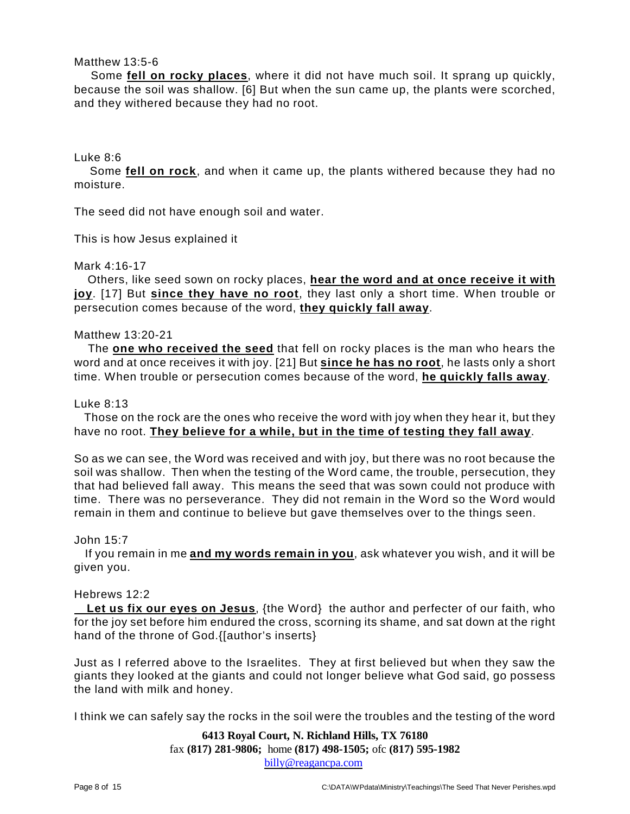## Matthew 13:5-6

Some **fell on rocky places**, where it did not have much soil. It sprang up quickly, because the soil was shallow. [6] But when the sun came up, the plants were scorched, and they withered because they had no root.

#### Luke 8:6

Some **fell on rock**, and when it came up, the plants withered because they had no moisture.

The seed did not have enough soil and water.

This is how Jesus explained it

#### Mark 4:16-17

Others, like seed sown on rocky places, **hear the word and at once receive it with joy**. [17] But **since they have no root**, they last only a short time. When trouble or persecution comes because of the word, **they quickly fall away**.

#### Matthew 13:20-21

The **one who received the seed** that fell on rocky places is the man who hears the word and at once receives it with joy. [21] But **since he has no root**, he lasts only a short time. When trouble or persecution comes because of the word, **he quickly falls away**.

#### Luke 8:13

Those on the rock are the ones who receive the word with joy when they hear it, but they have no root. **They believe for a while, but in the time of testing they fall away**.

So as we can see, the Word was received and with joy, but there was no root because the soil was shallow. Then when the testing of the Word came, the trouble, persecution, they that had believed fall away. This means the seed that was sown could not produce with time. There was no perseverance. They did not remain in the Word so the Word would remain in them and continue to believe but gave themselves over to the things seen.

#### John 15:7

If you remain in me **and my words remain in you**, ask whatever you wish, and it will be given you.

# Hebrews 12:2

**Let us fix our eyes on Jesus**, {the Word} the author and perfecter of our faith, who for the joy set before him endured the cross, scorning its shame, and sat down at the right hand of the throne of God.{[author's inserts}

Just as I referred above to the Israelites. They at first believed but when they saw the giants they looked at the giants and could not longer believe what God said, go possess the land with milk and honey.

I think we can safely say the rocks in the soil were the troubles and the testing of the word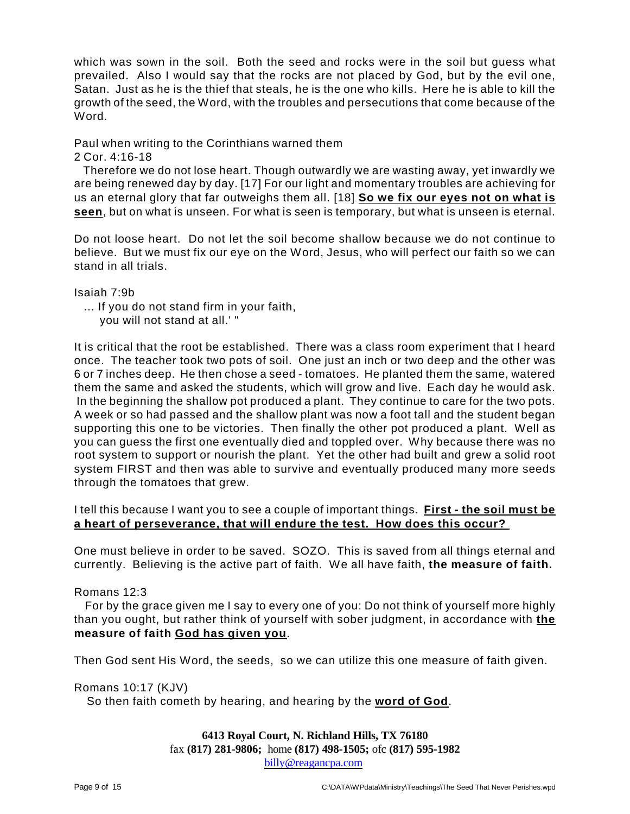which was sown in the soil. Both the seed and rocks were in the soil but guess what prevailed. Also I would say that the rocks are not placed by God, but by the evil one, Satan. Just as he is the thief that steals, he is the one who kills. Here he is able to kill the growth of the seed, the Word, with the troubles and persecutions that come because of the Word.

# Paul when writing to the Corinthians warned them

## 2 Cor. 4:16-18

Therefore we do not lose heart. Though outwardly we are wasting away, yet inwardly we are being renewed day by day. [17] For our light and momentary troubles are achieving for us an eternal glory that far outweighs them all. [18] **So we fix our eyes not on what is seen**, but on what is unseen. For what is seen is temporary, but what is unseen is eternal.

Do not loose heart. Do not let the soil become shallow because we do not continue to believe. But we must fix our eye on the Word, Jesus, who will perfect our faith so we can stand in all trials.

Isaiah 7:9b

- ... If you do not stand firm in your faith,
	- you will not stand at all.' "

It is critical that the root be established. There was a class room experiment that I heard once. The teacher took two pots of soil. One just an inch or two deep and the other was 6 or 7 inches deep. He then chose a seed - tomatoes. He planted them the same, watered them the same and asked the students, which will grow and live. Each day he would ask. In the beginning the shallow pot produced a plant. They continue to care for the two pots. A week or so had passed and the shallow plant was now a foot tall and the student began supporting this one to be victories. Then finally the other pot produced a plant. Well as you can guess the first one eventually died and toppled over. Why because there was no root system to support or nourish the plant. Yet the other had built and grew a solid root system FIRST and then was able to survive and eventually produced many more seeds through the tomatoes that grew.

# I tell this because I want you to see a couple of important things. **First - the soil must be a heart of perseverance, that will endure the test. How does this occur?**

One must believe in order to be saved. SOZO. This is saved from all things eternal and currently. Believing is the active part of faith. We all have faith, **the measure of faith.**

# Romans 12:3

For by the grace given me I say to every one of you: Do not think of yourself more highly than you ought, but rather think of yourself with sober judgment, in accordance with **the measure of faith God has given you**.

Then God sent His Word, the seeds, so we can utilize this one measure of faith given.

Romans 10:17 (KJV)

So then faith cometh by hearing, and hearing by the **word of God**.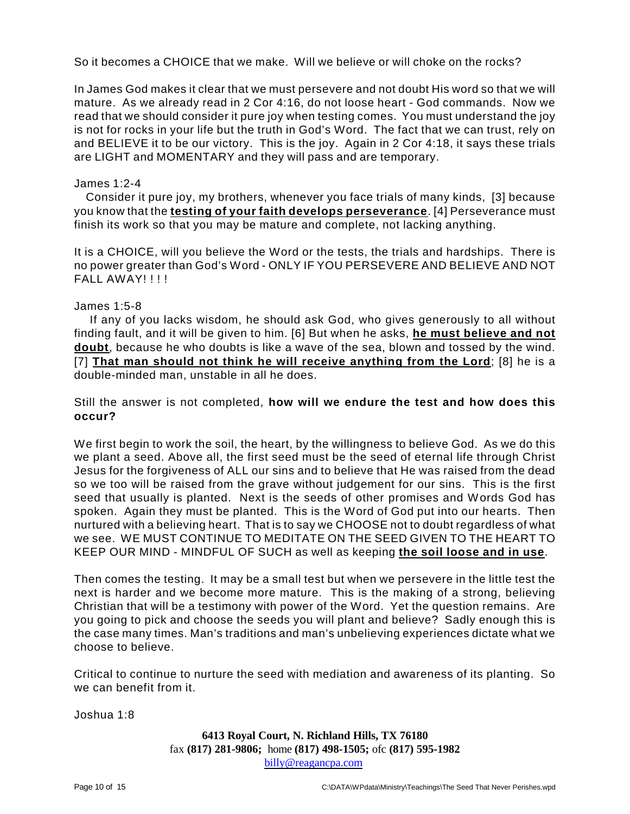So it becomes a CHOICE that we make. Will we believe or will choke on the rocks?

In James God makes it clear that we must persevere and not doubt His word so that we will mature. As we already read in 2 Cor 4:16, do not loose heart - God commands. Now we read that we should consider it pure joy when testing comes. You must understand the joy is not for rocks in your life but the truth in God's Word. The fact that we can trust, rely on and BELIEVE it to be our victory. This is the joy. Again in 2 Cor 4:18, it says these trials are LIGHT and MOMENTARY and they will pass and are temporary.

#### James 1:2-4

Consider it pure joy, my brothers, whenever you face trials of many kinds, [3] because you know that the **testing of your faith develops perseverance**. [4] Perseverance must finish its work so that you may be mature and complete, not lacking anything.

It is a CHOICE, will you believe the Word or the tests, the trials and hardships. There is no power greater than God's Word - ONLY IF YOU PERSEVERE AND BELIEVE AND NOT FAIL AWAY!!!!

#### James 1:5-8

If any of you lacks wisdom, he should ask God, who gives generously to all without finding fault, and it will be given to him. [6] But when he asks, **he must believe and not doubt**, because he who doubts is like a wave of the sea, blown and tossed by the wind. [7] **That man should not think he will receive anything from the Lord**; [8] he is a double-minded man, unstable in all he does.

Still the answer is not completed, **how will we endure the test and how does this occur?**

We first begin to work the soil, the heart, by the willingness to believe God. As we do this we plant a seed. Above all, the first seed must be the seed of eternal life through Christ Jesus for the forgiveness of ALL our sins and to believe that He was raised from the dead so we too will be raised from the grave without judgement for our sins. This is the first seed that usually is planted. Next is the seeds of other promises and Words God has spoken. Again they must be planted. This is the Word of God put into our hearts. Then nurtured with a believing heart. That is to say we CHOOSE not to doubt regardless of what we see. WE MUST CONTINUE TO MEDITATE ON THE SEED GIVEN TO THE HEART TO KEEP OUR MIND - MINDFUL OF SUCH as well as keeping **the soil loose and in use**.

Then comes the testing. It may be a small test but when we persevere in the little test the next is harder and we become more mature. This is the making of a strong, believing Christian that will be a testimony with power of the Word. Yet the question remains. Are you going to pick and choose the seeds you will plant and believe? Sadly enough this is the case many times. Man's traditions and man's unbelieving experiences dictate what we choose to believe.

Critical to continue to nurture the seed with mediation and awareness of its planting. So we can benefit from it.

Joshua 1:8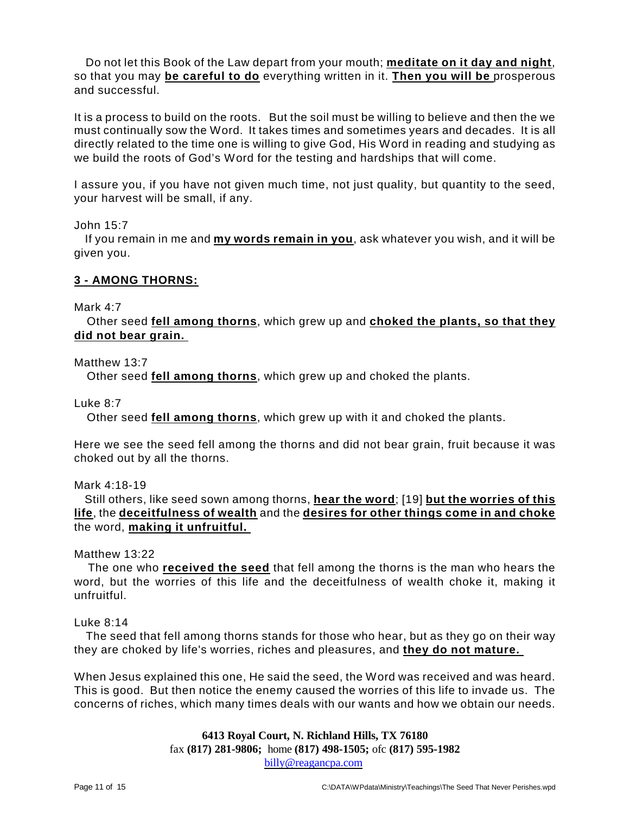Do not let this Book of the Law depart from your mouth; **meditate on it day and night**, so that you may **be careful to do** everything written in it. **Then you will be** prosperous and successful.

It is a process to build on the roots. But the soil must be willing to believe and then the we must continually sow the Word. It takes times and sometimes years and decades. It is all directly related to the time one is willing to give God, His Word in reading and studying as we build the roots of God's Word for the testing and hardships that will come.

I assure you, if you have not given much time, not just quality, but quantity to the seed, your harvest will be small, if any.

John 15:7

If you remain in me and **my words remain in you**, ask whatever you wish, and it will be given you.

# **3 - AMONG THORNS:**

#### Mark 4:7

Other seed **fell among thorns**, which grew up and **choked the plants, so that they did not bear grain.** 

## Matthew 13:7

Other seed **fell among thorns**, which grew up and choked the plants.

Luke 8:7

Other seed **fell among thorns**, which grew up with it and choked the plants.

Here we see the seed fell among the thorns and did not bear grain, fruit because it was choked out by all the thorns.

Mark 4:18-19

Still others, like seed sown among thorns, **hear the word**; [19] **but the worries of this life**, the **deceitfulness of wealth** and the **desires for other things come in and choke** the word, **making it unfruitful.** 

Matthew 13:22

The one who **received the seed** that fell among the thorns is the man who hears the word, but the worries of this life and the deceitfulness of wealth choke it, making it unfruitful.

#### Luke 8:14

The seed that fell among thorns stands for those who hear, but as they go on their way they are choked by life's worries, riches and pleasures, and **they do not mature.** 

When Jesus explained this one, He said the seed, the Word was received and was heard. This is good. But then notice the enemy caused the worries of this life to invade us. The concerns of riches, which many times deals with our wants and how we obtain our needs.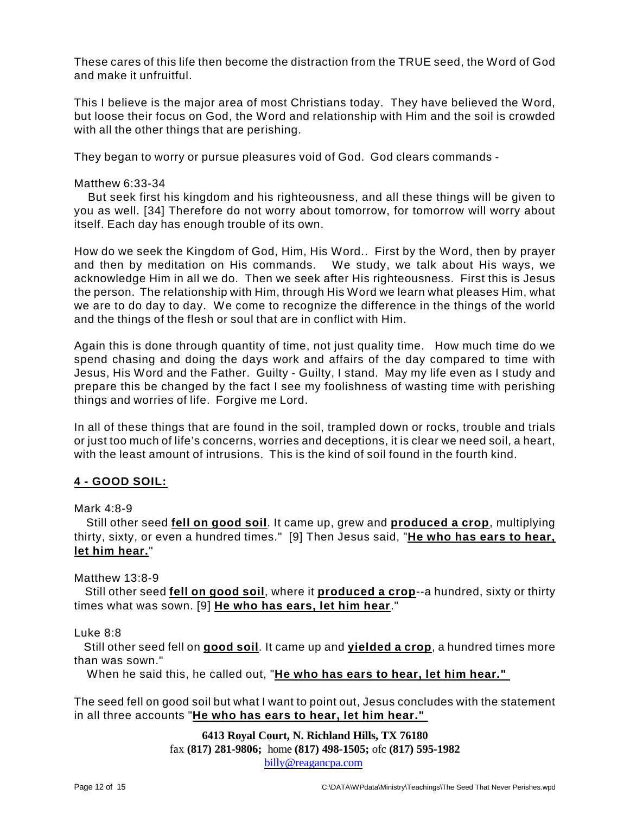These cares of this life then become the distraction from the TRUE seed, the Word of God and make it unfruitful.

This I believe is the major area of most Christians today. They have believed the Word, but loose their focus on God, the Word and relationship with Him and the soil is crowded with all the other things that are perishing.

They began to worry or pursue pleasures void of God. God clears commands -

# Matthew 6:33-34

But seek first his kingdom and his righteousness, and all these things will be given to you as well. [34] Therefore do not worry about tomorrow, for tomorrow will worry about itself. Each day has enough trouble of its own.

How do we seek the Kingdom of God, Him, His Word.. First by the Word, then by prayer and then by meditation on His commands. We study, we talk about His ways, we acknowledge Him in all we do. Then we seek after His righteousness. First this is Jesus the person. The relationship with Him, through His Word we learn what pleases Him, what we are to do day to day. We come to recognize the difference in the things of the world and the things of the flesh or soul that are in conflict with Him.

Again this is done through quantity of time, not just quality time. How much time do we spend chasing and doing the days work and affairs of the day compared to time with Jesus, His Word and the Father. Guilty - Guilty, I stand. May my life even as I study and prepare this be changed by the fact I see my foolishness of wasting time with perishing things and worries of life. Forgive me Lord.

In all of these things that are found in the soil, trampled down or rocks, trouble and trials or just too much of life's concerns, worries and deceptions, it is clear we need soil, a heart, with the least amount of intrusions. This is the kind of soil found in the fourth kind.

# **4 - GOOD SOIL:**

Mark  $4.8-9$ 

Still other seed **fell on good soil**. It came up, grew and **produced a crop**, multiplying thirty, sixty, or even a hundred times." [9] Then Jesus said, "**He who has ears to hear, let him hear.**"

Matthew 13:8-9

Still other seed **fell on good soil**, where it **produced a crop**--a hundred, sixty or thirty times what was sown. [9] **He who has ears, let him hear**."

Luke 8:8

Still other seed fell on **good soil**. It came up and **yielded a crop**, a hundred times more than was sown."

When he said this, he called out, "**He who has ears to hear, let him hear."** 

The seed fell on good soil but what I want to point out, Jesus concludes with the statement in all three accounts "**He who has ears to hear, let him hear."**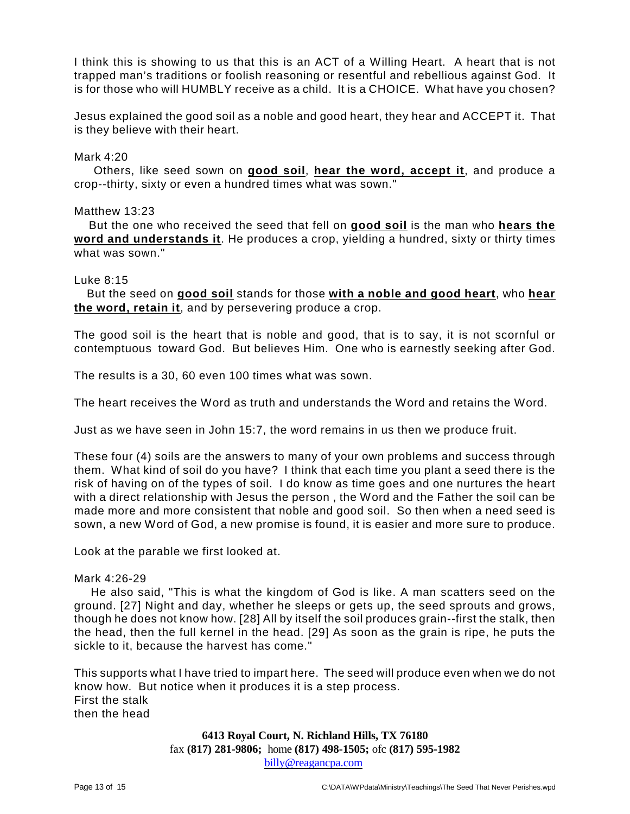I think this is showing to us that this is an ACT of a Willing Heart. A heart that is not trapped man's traditions or foolish reasoning or resentful and rebellious against God. It is for those who will HUMBLY receive as a child. It is a CHOICE. What have you chosen?

Jesus explained the good soil as a noble and good heart, they hear and ACCEPT it. That is they believe with their heart.

#### Mark 4:20

Others, like seed sown on **good soil**, **hear the word, accept it**, and produce a crop--thirty, sixty or even a hundred times what was sown."

#### Matthew 13:23

But the one who received the seed that fell on **good soil** is the man who **hears the word and understands it**. He produces a crop, yielding a hundred, sixty or thirty times what was sown."

#### Luke 8:15

But the seed on **good soil** stands for those **with a noble and good heart**, who **hear the word, retain it**, and by persevering produce a crop.

The good soil is the heart that is noble and good, that is to say, it is not scornful or contemptuous toward God. But believes Him. One who is earnestly seeking after God.

The results is a 30, 60 even 100 times what was sown.

The heart receives the Word as truth and understands the Word and retains the Word.

Just as we have seen in John 15:7, the word remains in us then we produce fruit.

These four (4) soils are the answers to many of your own problems and success through them. What kind of soil do you have? I think that each time you plant a seed there is the risk of having on of the types of soil. I do know as time goes and one nurtures the heart with a direct relationship with Jesus the person , the Word and the Father the soil can be made more and more consistent that noble and good soil. So then when a need seed is sown, a new Word of God, a new promise is found, it is easier and more sure to produce.

Look at the parable we first looked at.

# Mark 4:26-29

He also said, "This is what the kingdom of God is like. A man scatters seed on the ground. [27] Night and day, whether he sleeps or gets up, the seed sprouts and grows, though he does not know how. [28] All by itself the soil produces grain--first the stalk, then the head, then the full kernel in the head. [29] As soon as the grain is ripe, he puts the sickle to it, because the harvest has come."

This supports what I have tried to impart here. The seed will produce even when we do not know how. But notice when it produces it is a step process. First the stalk then the head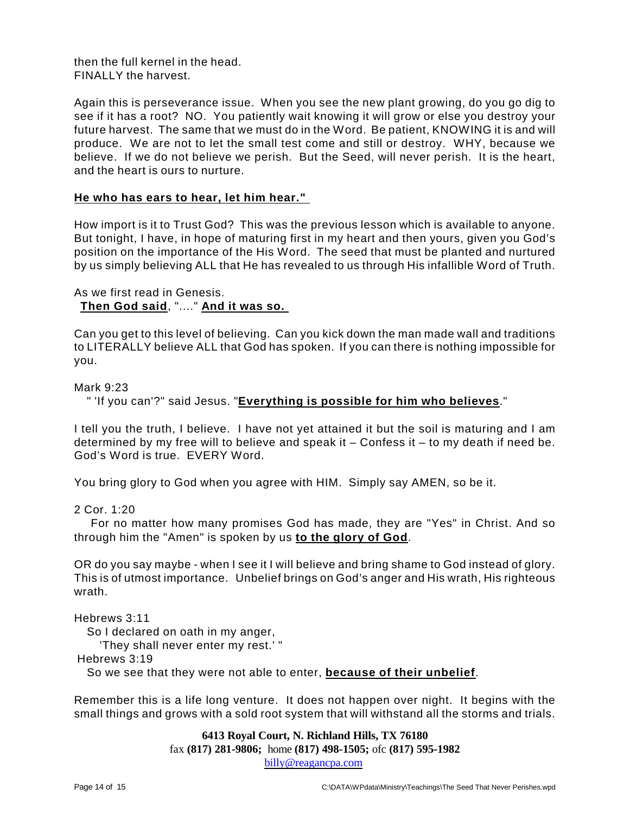then the full kernel in the head. FINALLY the harvest.

Again this is perseverance issue. When you see the new plant growing, do you go dig to see if it has a root? NO. You patiently wait knowing it will grow or else you destroy your future harvest. The same that we must do in the Word. Be patient, KNOWING it is and will produce. We are not to let the small test come and still or destroy. WHY, because we believe. If we do not believe we perish. But the Seed, will never perish. It is the heart, and the heart is ours to nurture.

#### **He who has ears to hear, let him hear."**

How import is it to Trust God? This was the previous lesson which is available to anyone. But tonight, I have, in hope of maturing first in my heart and then yours, given you God's position on the importance of the His Word. The seed that must be planted and nurtured by us simply believing ALL that He has revealed to us through His infallible Word of Truth.

# As we first read in Genesis. **Then God said**, "...." **And it was so.**

Can you get to this level of believing. Can you kick down the man made wall and traditions to LITERALLY believe ALL that God has spoken. If you can there is nothing impossible for you.

Mark 9:23

```
" 'If you can'?" said Jesus. "Everything is possible for him who believes."
```
I tell you the truth, I believe. I have not yet attained it but the soil is maturing and I am determined by my free will to believe and speak it  $-$  Confess it  $-$  to my death if need be. God's Word is true. EVERY Word.

You bring glory to God when you agree with HIM. Simply say AMEN, so be it.

2 Cor. 1:20

For no matter how many promises God has made, they are "Yes" in Christ. And so through him the "Amen" is spoken by us **to the glory of God**.

OR do you say maybe - when I see it I will believe and bring shame to God instead of glory. This is of utmost importance. Unbelief brings on God's anger and His wrath, His righteous wrath.

Hebrews 3:11

So I declared on oath in my anger,

'They shall never enter my rest.' "

Hebrews 3:19

So we see that they were not able to enter, **because of their unbelief**.

Remember this is a life long venture. It does not happen over night. It begins with the small things and grows with a sold root system that will withstand all the storms and trials.